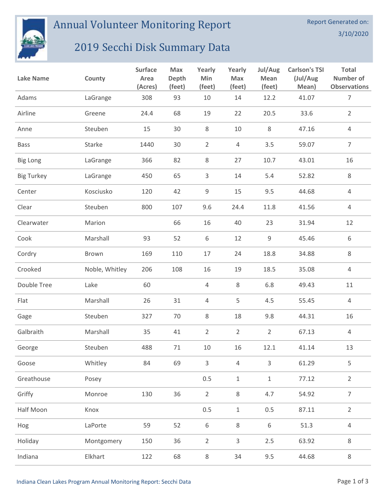

Annual Volunteer Monitoring Report

## 2019 Secchi Disk Summary Data

| <b>Lake Name</b>  | County         | <b>Surface</b><br>Area<br>(Acres) | <b>Max</b><br>Depth<br>(feet) | Yearly<br>Min<br>(feet) | Yearly<br><b>Max</b><br>(feet) | Jul/Aug<br><b>Mean</b><br>(feet) | <b>Carlson's TSI</b><br>(Jul/Aug<br>Mean) | <b>Total</b><br>Number of<br><b>Observations</b> |
|-------------------|----------------|-----------------------------------|-------------------------------|-------------------------|--------------------------------|----------------------------------|-------------------------------------------|--------------------------------------------------|
| Adams             | LaGrange       | 308                               | 93                            | 10                      | 14                             | 12.2                             | 41.07                                     | $\overline{7}$                                   |
| Airline           | Greene         | 24.4                              | 68                            | 19                      | 22                             | 20.5                             | 33.6                                      | $\overline{2}$                                   |
| Anne              | Steuben        | 15                                | 30                            | 8                       | 10                             | 8                                | 47.16                                     | 4                                                |
| <b>Bass</b>       | Starke         | 1440                              | 30                            | $\overline{2}$          | 4                              | 3.5                              | 59.07                                     | $\overline{7}$                                   |
| <b>Big Long</b>   | LaGrange       | 366                               | 82                            | 8                       | 27                             | 10.7                             | 43.01                                     | 16                                               |
| <b>Big Turkey</b> | LaGrange       | 450                               | 65                            | 3                       | 14                             | 5.4                              | 52.82                                     | 8                                                |
| Center            | Kosciusko      | 120                               | 42                            | $\mathsf 9$             | 15                             | 9.5                              | 44.68                                     | $\overline{4}$                                   |
| Clear             | Steuben        | 800                               | 107                           | 9.6                     | 24.4                           | 11.8                             | 41.56                                     | $\overline{4}$                                   |
| Clearwater        | Marion         |                                   | 66                            | 16                      | 40                             | 23                               | 31.94                                     | 12                                               |
| Cook              | Marshall       | 93                                | 52                            | 6                       | 12                             | 9                                | 45.46                                     | 6                                                |
| Cordry            | Brown          | 169                               | 110                           | 17                      | 24                             | 18.8                             | 34.88                                     | 8                                                |
| Crooked           | Noble, Whitley | 206                               | 108                           | 16                      | 19                             | 18.5                             | 35.08                                     | 4                                                |
| Double Tree       | Lake           | 60                                |                               | $\overline{4}$          | 8                              | 6.8                              | 49.43                                     | 11                                               |
| Flat              | Marshall       | 26                                | 31                            | $\overline{4}$          | 5                              | 4.5                              | 55.45                                     | 4                                                |
| Gage              | Steuben        | 327                               | 70                            | 8                       | 18                             | 9.8                              | 44.31                                     | 16                                               |
| Galbraith         | Marshall       | 35                                | 41                            | $\overline{2}$          | $\overline{2}$                 | $\overline{2}$                   | 67.13                                     | 4                                                |
| George            | Steuben        | 488                               | $71\,$                        | $10\,$                  | 16                             | 12.1                             | 41.14                                     | 13                                               |
| Goose             | Whitley        | 84                                | 69                            | $\mathsf{3}$            | $\overline{4}$                 | $\overline{3}$                   | 61.29                                     | 5                                                |
| Greathouse        | Posey          |                                   |                               | 0.5                     | $1\,$                          | $\,1\,$                          | 77.12                                     | $\overline{2}$                                   |
| Griffy            | Monroe         | 130                               | 36                            | $\overline{2}$          | 8                              | 4.7                              | 54.92                                     | $\overline{7}$                                   |
| Half Moon         | Knox           |                                   |                               | 0.5                     | $1\,$                          | 0.5                              | 87.11                                     | $\overline{2}$                                   |
| Hog               | LaPorte        | 59                                | 52                            | $\,6\,$                 | 8                              | 6                                | 51.3                                      | $\overline{4}$                                   |
| Holiday           | Montgomery     | 150                               | 36                            | $\overline{2}$          | $\overline{3}$                 | 2.5                              | 63.92                                     | $\,8\,$                                          |
| Indiana           | Elkhart        | 122                               | 68                            | $\,8\,$                 | 34                             | 9.5                              | 44.68                                     | $\,8\,$                                          |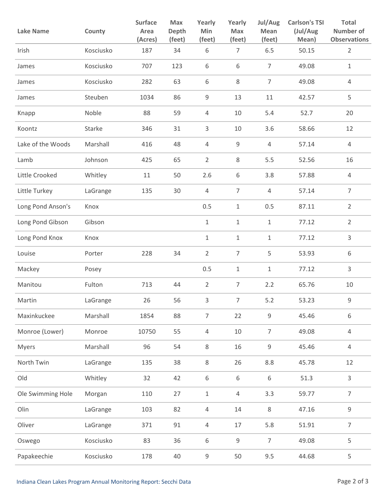| <b>Lake Name</b>  | County    | <b>Surface</b><br>Area<br>(Acres) | <b>Max</b><br><b>Depth</b><br>(feet) | Yearly<br>Min<br>(feet) | Yearly<br><b>Max</b><br>(feet) | Jul/Aug<br><b>Mean</b><br>(feet) | <b>Carlson's TSI</b><br>(Jul/Aug<br>Mean) | Total<br><b>Number of</b><br><b>Observations</b> |
|-------------------|-----------|-----------------------------------|--------------------------------------|-------------------------|--------------------------------|----------------------------------|-------------------------------------------|--------------------------------------------------|
| Irish             | Kosciusko | 187                               | 34                                   | 6                       | $\overline{7}$                 | 6.5                              | 50.15                                     | $\overline{2}$                                   |
| James             | Kosciusko | 707                               | 123                                  | 6                       | 6                              | $\overline{7}$                   | 49.08                                     | $\mathbf 1$                                      |
| James             | Kosciusko | 282                               | 63                                   | 6                       | 8                              | $\overline{7}$                   | 49.08                                     | 4                                                |
| James             | Steuben   | 1034                              | 86                                   | 9                       | 13                             | 11                               | 42.57                                     | 5                                                |
| Knapp             | Noble     | 88                                | 59                                   | $\overline{4}$          | 10                             | 5.4                              | 52.7                                      | 20                                               |
| Koontz            | Starke    | 346                               | 31                                   | 3                       | 10                             | 3.6                              | 58.66                                     | 12                                               |
| Lake of the Woods | Marshall  | 416                               | 48                                   | $\overline{4}$          | $\mathsf 9$                    | $\overline{4}$                   | 57.14                                     | 4                                                |
| Lamb              | Johnson   | 425                               | 65                                   | $\overline{2}$          | 8                              | 5.5                              | 52.56                                     | 16                                               |
| Little Crooked    | Whitley   | 11                                | 50                                   | 2.6                     | 6                              | 3.8                              | 57.88                                     | 4                                                |
| Little Turkey     | LaGrange  | 135                               | 30                                   | 4                       | $\overline{7}$                 | $\overline{4}$                   | 57.14                                     | $\overline{7}$                                   |
| Long Pond Anson's | Knox      |                                   |                                      | 0.5                     | $\mathbf{1}$                   | 0.5                              | 87.11                                     | $\overline{2}$                                   |
| Long Pond Gibson  | Gibson    |                                   |                                      | $\mathbf 1$             | $\mathbf 1$                    | $\,1\,$                          | 77.12                                     | $\overline{2}$                                   |
| Long Pond Knox    | Knox      |                                   |                                      | $\mathbf 1$             | $\mathbf 1$                    | $\mathbf{1}$                     | 77.12                                     | $\mathsf{3}$                                     |
| Louise            | Porter    | 228                               | 34                                   | $\overline{2}$          | 7                              | 5                                | 53.93                                     | 6                                                |
| Mackey            | Posey     |                                   |                                      | 0.5                     | 1                              | $\mathbf{1}$                     | 77.12                                     | 3                                                |
| Manitou           | Fulton    | 713                               | 44                                   | $\overline{2}$          | $\overline{7}$                 | 2.2                              | 65.76                                     | 10                                               |
| Martin            | LaGrange  | 26                                | 56                                   | 3                       | $7^{\circ}$                    | 5.2                              | 53.23                                     | 9                                                |
| Maxinkuckee       | Marshall  | 1854                              | 88                                   | $\overline{7}$          | 22                             | 9                                | 45.46                                     | $\,$ 6 $\,$                                      |
| Monroe (Lower)    | Monroe    | 10750                             | 55                                   | $\overline{4}$          | 10                             | $\overline{7}$                   | 49.08                                     | $\overline{4}$                                   |
| <b>Myers</b>      | Marshall  | 96                                | 54                                   | 8                       | 16                             | $\mathsf 9$                      | 45.46                                     | $\overline{4}$                                   |
| North Twin        | LaGrange  | 135                               | 38                                   | 8                       | 26                             | 8.8                              | 45.78                                     | 12                                               |
| Old               | Whitley   | 32                                | 42                                   | 6                       | 6                              | 6                                | 51.3                                      | $\mathsf{3}$                                     |
| Ole Swimming Hole | Morgan    | 110                               | 27                                   | $1\,$                   | $\overline{4}$                 | 3.3                              | 59.77                                     | $\overline{7}$                                   |
| Olin              | LaGrange  | 103                               | 82                                   | $\overline{4}$          | 14                             | 8                                | 47.16                                     | $\mathsf 9$                                      |
| Oliver            | LaGrange  | 371                               | 91                                   | 4                       | 17                             | 5.8                              | 51.91                                     | $\overline{7}$                                   |
| Oswego            | Kosciusko | 83                                | 36                                   | 6                       | 9                              | $\overline{7}$                   | 49.08                                     | 5                                                |
| Papakeechie       | Kosciusko | 178                               | 40                                   | 9                       | 50                             | 9.5                              | 44.68                                     | 5                                                |